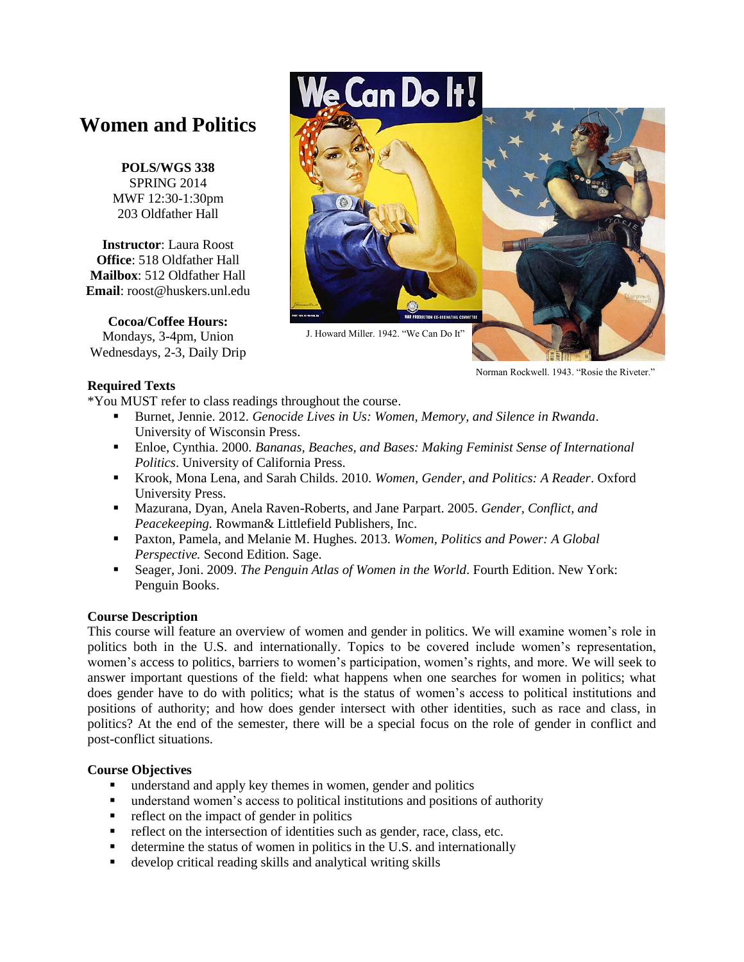# **Women and Politics**

**POLS/WGS 338** SPRING 2014 MWF 12:30-1:30pm 203 Oldfather Hall

**Instructor**: Laura Roost **Office**: 518 Oldfather Hall **Mailbox**: 512 Oldfather Hall **Email**: roost@huskers.unl.edu

**Cocoa/Coffee Hours:** Mondays, 3-4pm, Union Wednesdays, 2-3, Daily Drip

# **Can Do It!**



Norman Rockwell. 1943. "Rosie the Riveter."

#### **Required Texts**

\*You MUST refer to class readings throughout the course.

- Burnet, Jennie. 2012. *Genocide Lives in Us: Women, Memory, and Silence in Rwanda*. University of Wisconsin Press.
- Enloe, Cynthia. 2000. *Bananas, Beaches, and Bases: Making Feminist Sense of International Politics*. University of California Press.
- Krook, Mona Lena, and Sarah Childs. 2010. *Women, Gender, and Politics: A Reader*. Oxford University Press.
- Mazurana, Dyan, Anela Raven-Roberts, and Jane Parpart. 2005. *Gender, Conflict, and Peacekeeping.* Rowman& Littlefield Publishers, Inc.
- Paxton, Pamela, and Melanie M. Hughes. 2013. *Women, Politics and Power: A Global Perspective.* Second Edition. Sage.
- Seager, Joni. 2009. *The Penguin Atlas of Women in the World*. Fourth Edition. New York: Penguin Books.

# **Course Description**

This course will feature an overview of women and gender in politics. We will examine women"s role in politics both in the U.S. and internationally. Topics to be covered include women"s representation, women"s access to politics, barriers to women"s participation, women"s rights, and more. We will seek to answer important questions of the field: what happens when one searches for women in politics; what does gender have to do with politics; what is the status of women"s access to political institutions and positions of authority; and how does gender intersect with other identities, such as race and class, in politics? At the end of the semester, there will be a special focus on the role of gender in conflict and post-conflict situations.

# **Course Objectives**

- understand and apply key themes in women, gender and politics
- understand women"s access to political institutions and positions of authority
- reflect on the impact of gender in politics
- reflect on the intersection of identities such as gender, race, class, etc.
- determine the status of women in politics in the U.S. and internationally
- develop critical reading skills and analytical writing skills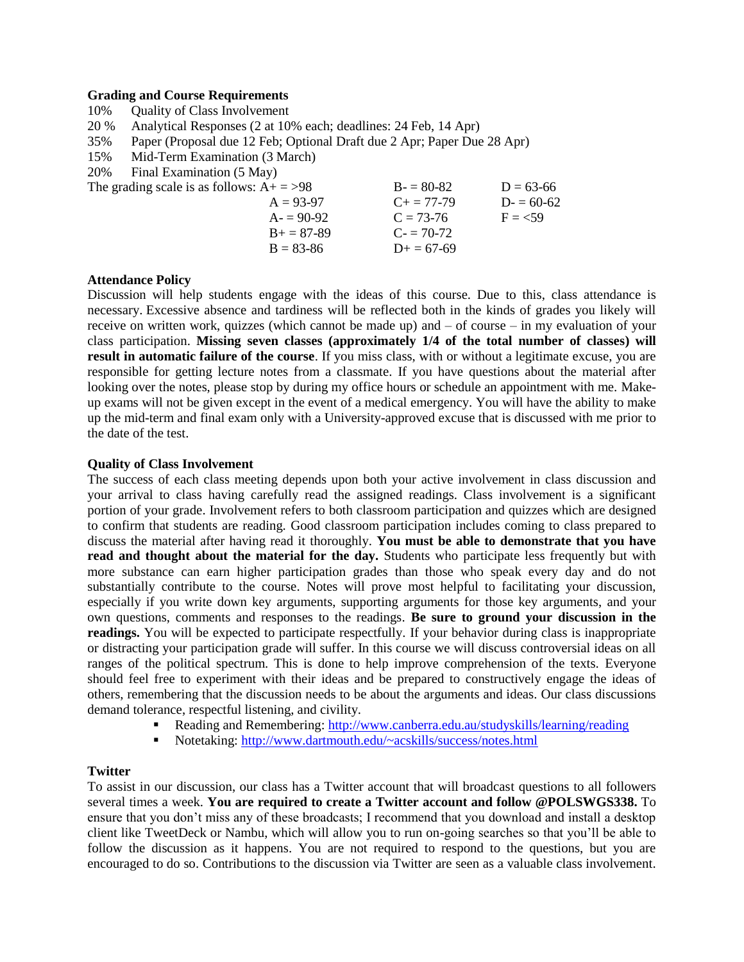#### **Grading and Course Requirements**

| 10%                                         | <b>Quality of Class Involvement</b>                                     |                     |             |  |  |
|---------------------------------------------|-------------------------------------------------------------------------|---------------------|-------------|--|--|
| 20 %                                        | Analytical Responses (2 at 10% each; deadlines: 24 Feb, 14 Apr)         |                     |             |  |  |
| 35%                                         | Paper (Proposal due 12 Feb; Optional Draft due 2 Apr; Paper Due 28 Apr) |                     |             |  |  |
| 15%                                         | Mid-Term Examination (3 March)                                          |                     |             |  |  |
| 20%                                         | Final Examination (5 May)                                               |                     |             |  |  |
| The grading scale is as follows: $A+ = >98$ |                                                                         | $B - 80 - 82$       | $D = 63-66$ |  |  |
|                                             | $A = 93-97$                                                             | $C_{\pm} = 77 - 79$ | $D = 60-62$ |  |  |
|                                             | $A = 90-92$                                                             | $C = 73-76$         | $F = 59$    |  |  |
|                                             | $B+=87-89$                                                              | $C = 70-72$         |             |  |  |
|                                             | $B = 83 - 86$                                                           | $D+=67-69$          |             |  |  |

#### **Attendance Policy**

Discussion will help students engage with the ideas of this course. Due to this, class attendance is necessary. Excessive absence and tardiness will be reflected both in the kinds of grades you likely will receive on written work, quizzes (which cannot be made up) and – of course – in my evaluation of your class participation. **Missing seven classes (approximately 1/4 of the total number of classes) will result in automatic failure of the course**. If you miss class, with or without a legitimate excuse, you are responsible for getting lecture notes from a classmate. If you have questions about the material after looking over the notes, please stop by during my office hours or schedule an appointment with me. Makeup exams will not be given except in the event of a medical emergency. You will have the ability to make up the mid-term and final exam only with a University-approved excuse that is discussed with me prior to the date of the test.

#### **Quality of Class Involvement**

The success of each class meeting depends upon both your active involvement in class discussion and your arrival to class having carefully read the assigned readings. Class involvement is a significant portion of your grade. Involvement refers to both classroom participation and quizzes which are designed to confirm that students are reading. Good classroom participation includes coming to class prepared to discuss the material after having read it thoroughly. **You must be able to demonstrate that you have read and thought about the material for the day.** Students who participate less frequently but with more substance can earn higher participation grades than those who speak every day and do not substantially contribute to the course. Notes will prove most helpful to facilitating your discussion, especially if you write down key arguments, supporting arguments for those key arguments, and your own questions, comments and responses to the readings. **Be sure to ground your discussion in the readings.** You will be expected to participate respectfully. If your behavior during class is inappropriate or distracting your participation grade will suffer. In this course we will discuss controversial ideas on all ranges of the political spectrum. This is done to help improve comprehension of the texts. Everyone should feel free to experiment with their ideas and be prepared to constructively engage the ideas of others, remembering that the discussion needs to be about the arguments and ideas. Our class discussions demand tolerance, respectful listening, and civility.

- Reading and Remembering:<http://www.canberra.edu.au/studyskills/learning/reading>
- Notetaking:<http://www.dartmouth.edu/~acskills/success/notes.html>

#### **Twitter**

To assist in our discussion, our class has a Twitter account that will broadcast questions to all followers several times a week. **You are required to create a Twitter account and follow @POLSWGS338.** To ensure that you don"t miss any of these broadcasts; I recommend that you download and install a desktop client like TweetDeck or Nambu, which will allow you to run on-going searches so that you"ll be able to follow the discussion as it happens. You are not required to respond to the questions, but you are encouraged to do so. Contributions to the discussion via Twitter are seen as a valuable class involvement.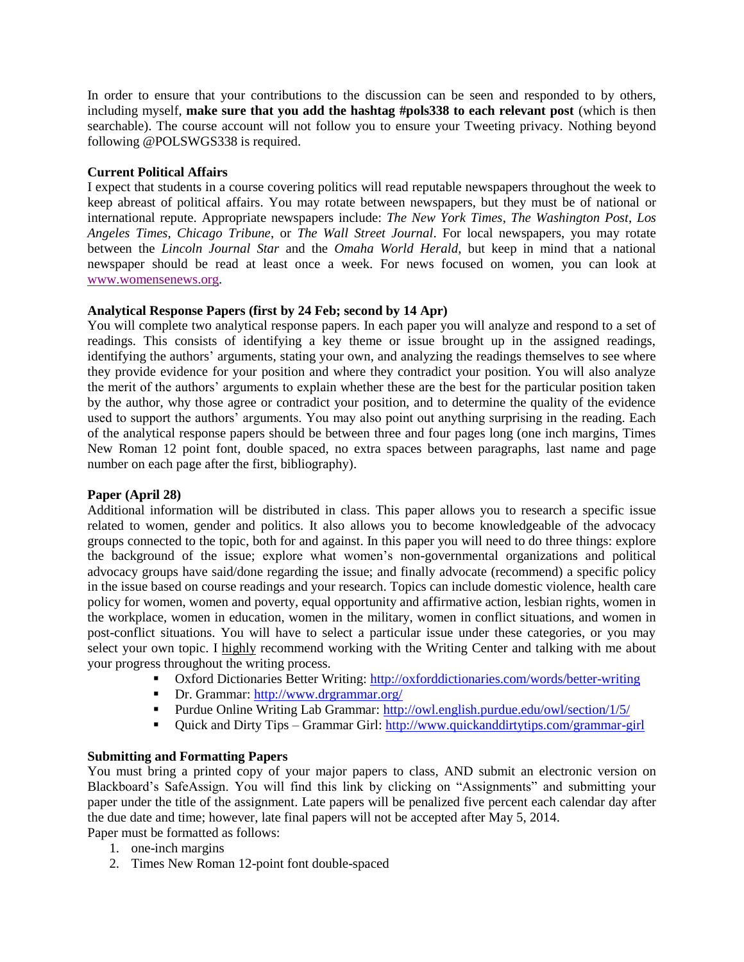In order to ensure that your contributions to the discussion can be seen and responded to by others, including myself, **make sure that you add the hashtag #pols338 to each relevant post** (which is then searchable). The course account will not follow you to ensure your Tweeting privacy. Nothing beyond following @POLSWGS338 is required.

#### **Current Political Affairs**

I expect that students in a course covering politics will read reputable newspapers throughout the week to keep abreast of political affairs. You may rotate between newspapers, but they must be of national or international repute. Appropriate newspapers include: *The New York Times*, *The Washington Post*, *Los Angeles Times*, *Chicago Tribune*, or *The Wall Street Journal*. For local newspapers, you may rotate between the *Lincoln Journal Star* and the *Omaha World Herald*, but keep in mind that a national newspaper should be read at least once a week. For news focused on women, you can look at [www.womensenews.org.](http://www.womensenews.org/)

#### **Analytical Response Papers (first by 24 Feb; second by 14 Apr)**

You will complete two analytical response papers. In each paper you will analyze and respond to a set of readings. This consists of identifying a key theme or issue brought up in the assigned readings, identifying the authors' arguments, stating your own, and analyzing the readings themselves to see where they provide evidence for your position and where they contradict your position. You will also analyze the merit of the authors" arguments to explain whether these are the best for the particular position taken by the author, why those agree or contradict your position, and to determine the quality of the evidence used to support the authors' arguments. You may also point out anything surprising in the reading. Each of the analytical response papers should be between three and four pages long (one inch margins, Times New Roman 12 point font, double spaced, no extra spaces between paragraphs, last name and page number on each page after the first, bibliography).

#### **Paper (April 28)**

Additional information will be distributed in class. This paper allows you to research a specific issue related to women, gender and politics. It also allows you to become knowledgeable of the advocacy groups connected to the topic, both for and against. In this paper you will need to do three things: explore the background of the issue; explore what women"s non-governmental organizations and political advocacy groups have said/done regarding the issue; and finally advocate (recommend) a specific policy in the issue based on course readings and your research. Topics can include domestic violence, health care policy for women, women and poverty, equal opportunity and affirmative action, lesbian rights, women in the workplace, women in education, women in the military, women in conflict situations, and women in post-conflict situations. You will have to select a particular issue under these categories, or you may select your own topic. I highly recommend working with the Writing Center and talking with me about your progress throughout the writing process.

- Oxford Dictionaries Better Writing[: http://oxforddictionaries.com/words/better-writing](http://oxforddictionaries.com/words/better-writing)
- Dr. Grammar:<http://www.drgrammar.org/>
- Purdue Online Writing Lab Grammar:<http://owl.english.purdue.edu/owl/section/1/5/>
- Quick and Dirty Tips Grammar Girl:<http://www.quickanddirtytips.com/grammar-girl>

#### **Submitting and Formatting Papers**

You must bring a printed copy of your major papers to class, AND submit an electronic version on Blackboard"s SafeAssign. You will find this link by clicking on "Assignments" and submitting your paper under the title of the assignment. Late papers will be penalized five percent each calendar day after the due date and time; however, late final papers will not be accepted after May 5, 2014. Paper must be formatted as follows:

1. one-inch margins

2. Times New Roman 12-point font double-spaced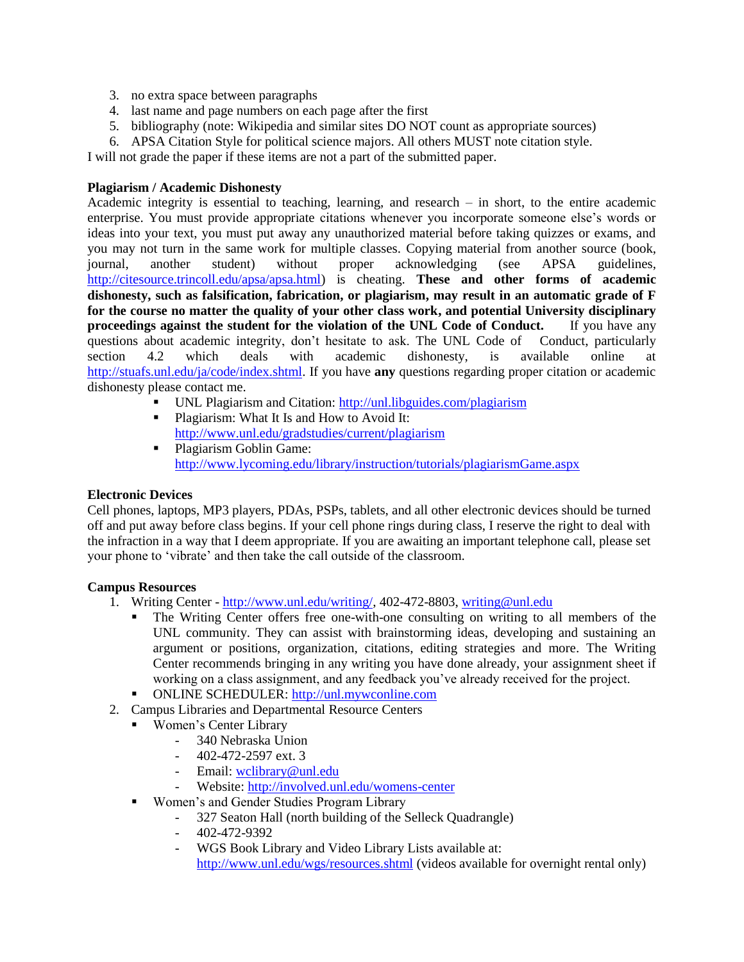- 3. no extra space between paragraphs
- 4. last name and page numbers on each page after the first
- 5. bibliography (note: Wikipedia and similar sites DO NOT count as appropriate sources)
- 6. APSA Citation Style for political science majors. All others MUST note citation style.

I will not grade the paper if these items are not a part of the submitted paper.

#### **Plagiarism / Academic Dishonesty**

Academic integrity is essential to teaching, learning, and research – in short, to the entire academic enterprise. You must provide appropriate citations whenever you incorporate someone else"s words or ideas into your text, you must put away any unauthorized material before taking quizzes or exams, and you may not turn in the same work for multiple classes. Copying material from another source (book, journal, another student) without proper acknowledging (see APSA guidelines, [http://citesource.trincoll.edu/apsa/apsa.html\)](http://citesource.trincoll.edu/apsa/apsa.html) is cheating. **These and other forms of academic dishonesty, such as falsification, fabrication, or plagiarism, may result in an automatic grade of F for the course no matter the quality of your other class work, and potential University disciplinary proceedings against the student for the violation of the UNL Code of Conduct.** If you have any questions about academic integrity, don"t hesitate to ask. The UNL Code of Conduct, particularly section 4.2 which deals with academic dishonesty, is available online at [http://stuafs.unl.edu/ja/code/index.shtml.](http://stuafs.unl.edu/ja/code/index.shtml) If you have **any** questions regarding proper citation or academic dishonesty please contact me.

- UNL Plagiarism and Citation:<http://unl.libguides.com/plagiarism>
- Plagiarism: What It Is and How to Avoid It: <http://www.unl.edu/gradstudies/current/plagiarism>
- Plagiarism Goblin Game: <http://www.lycoming.edu/library/instruction/tutorials/plagiarismGame.aspx>

# **Electronic Devices**

Cell phones, laptops, MP3 players, PDAs, PSPs, tablets, and all other electronic devices should be turned off and put away before class begins. If your cell phone rings during class, I reserve the right to deal with the infraction in a way that I deem appropriate. If you are awaiting an important telephone call, please set your phone to "vibrate" and then take the call outside of the classroom.

#### **Campus Resources**

- 1. Writing Center [http://www.unl.edu/writing/,](http://www.unl.edu/writing/) 402-472-8803, [writing@unl.edu](mailto:writing@unl.edu)
	- The Writing Center offers free one-with-one consulting on writing to all members of the UNL community. They can assist with brainstorming ideas, developing and sustaining an argument or positions, organization, citations, editing strategies and more. The Writing Center recommends bringing in any writing you have done already, your assignment sheet if working on a class assignment, and any feedback you"ve already received for the project.
	- ONLINE SCHEDULER: [http://unl.mywconline.com](http://unl.mywconline.com/)
- 2. Campus Libraries and Departmental Resource Centers
	- Women's Center Library
		- 340 Nebraska Union
		- 402-472-2597 ext. 3
		- Email: [wclibrary@unl.edu](mailto:wclibrary@unl.edu)
		- Website:<http://involved.unl.edu/womens-center>
	- **Women's and Gender Studies Program Library** 
		- 327 Seaton Hall (north building of the Selleck Quadrangle)
		- 402-472-9392
		- WGS Book Library and Video Library Lists available at:

<http://www.unl.edu/wgs/resources.shtml> (videos available for overnight rental only)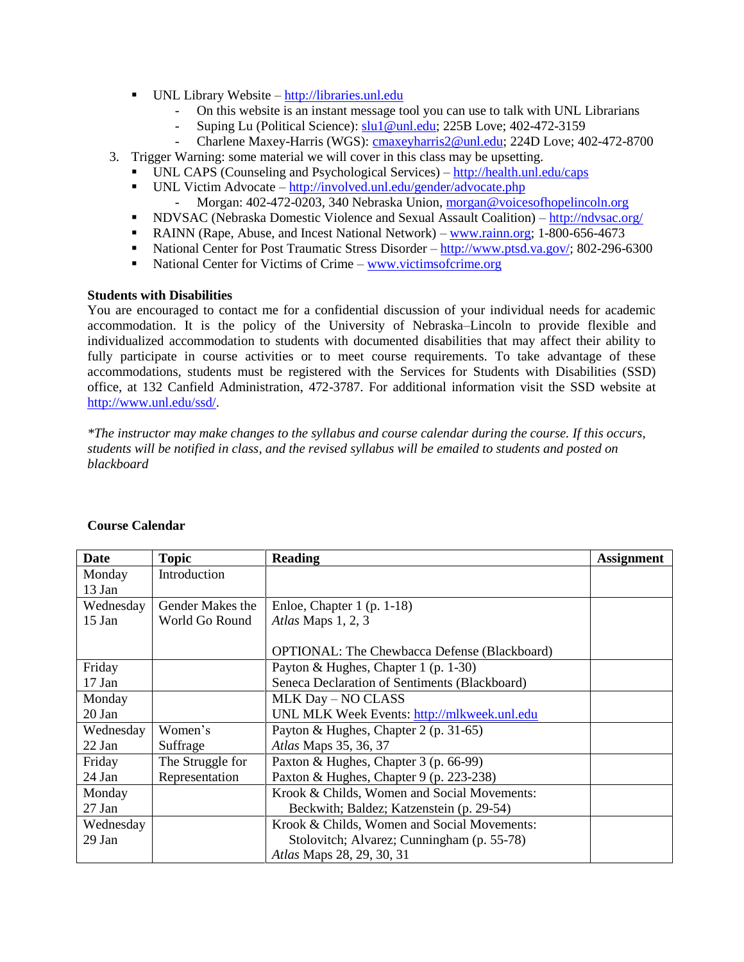- UNL Library Website [http://libraries.unl.edu](http://libraries.unl.edu/)
	- On this website is an instant message tool you can use to talk with UNL Librarians
	- Suping Lu (Political Science)[: slu1@unl.edu;](mailto:slu1@unl.edu) 225B Love; 402-472-3159
	- Charlene Maxey-Harris (WGS): [cmaxeyharris2@unl.edu;](mailto:cmaxeyharris2@unl.edu) 224D Love; 402-472-8700

3. Trigger Warning: some material we will cover in this class may be upsetting.

- UNL CAPS (Counseling and Psychological Services) <http://health.unl.edu/caps>
- UNL Victim Advocate <http://involved.unl.edu/gender/advocate.php>
	- Morgan: 402-472-0203, 340 Nebraska Union, [morgan@voicesofhopelincoln.org](mailto:morgan@voicesofhopelincoln.org)
- NDVSAC (Nebraska Domestic Violence and Sexual Assault Coalition) <http://ndvsac.org/>
- RAINN (Rape, Abuse, and Incest National Network) [www.rainn.org;](http://www.rainn.org/) 1-800-656-4673
- National Center for Post Traumatic Stress Disorder [http://www.ptsd.va.gov/;](http://www.ptsd.va.gov/) 802-296-6300
- National Center for Victims of Crime [www.victimsofcrime.org](http://www.victimsofcrime.org/)

#### **Students with Disabilities**

You are encouraged to contact me for a confidential discussion of your individual needs for academic accommodation. It is the policy of the University of Nebraska–Lincoln to provide flexible and individualized accommodation to students with documented disabilities that may affect their ability to fully participate in course activities or to meet course requirements. To take advantage of these accommodations, students must be registered with the Services for Students with Disabilities (SSD) office, at 132 Canfield Administration, 472-3787. For additional information visit the SSD website at [http://www.unl.edu/ssd/.](http://www.unl.edu/ssd/)

*\*The instructor may make changes to the syllabus and course calendar during the course. If this occurs, students will be notified in class, and the revised syllabus will be emailed to students and posted on blackboard*

| Date      | <b>Topic</b>     | <b>Reading</b>                                      | <b>Assignment</b> |
|-----------|------------------|-----------------------------------------------------|-------------------|
| Monday    | Introduction     |                                                     |                   |
| 13 Jan    |                  |                                                     |                   |
| Wednesday | Gender Makes the | Enloe, Chapter $1$ (p. 1-18)                        |                   |
| $15$ Jan  | World Go Round   | Atlas Maps 1, 2, 3                                  |                   |
|           |                  |                                                     |                   |
|           |                  | <b>OPTIONAL:</b> The Chewbacca Defense (Blackboard) |                   |
| Friday    |                  | Payton & Hughes, Chapter 1 (p. 1-30)                |                   |
| 17 Jan    |                  | Seneca Declaration of Sentiments (Blackboard)       |                   |
| Monday    |                  | MLK Day - NO CLASS                                  |                   |
| 20 Jan    |                  | UNL MLK Week Events: http://mlkweek.unl.edu         |                   |
| Wednesday | Women's          | Payton & Hughes, Chapter 2 (p. 31-65)               |                   |
| 22 Jan    | Suffrage         | Atlas Maps 35, 36, 37                               |                   |
| Friday    | The Struggle for | Paxton & Hughes, Chapter 3 (p. 66-99)               |                   |
| 24 Jan    | Representation   | Paxton & Hughes, Chapter 9 (p. 223-238)             |                   |
| Monday    |                  | Krook & Childs, Women and Social Movements:         |                   |
| 27 Jan    |                  | Beckwith; Baldez; Katzenstein (p. 29-54)            |                   |
| Wednesday |                  | Krook & Childs, Women and Social Movements:         |                   |
| 29 Jan    |                  | Stolovitch; Alvarez; Cunningham (p. 55-78)          |                   |
|           |                  | Atlas Maps 28, 29, 30, 31                           |                   |

#### **Course Calendar**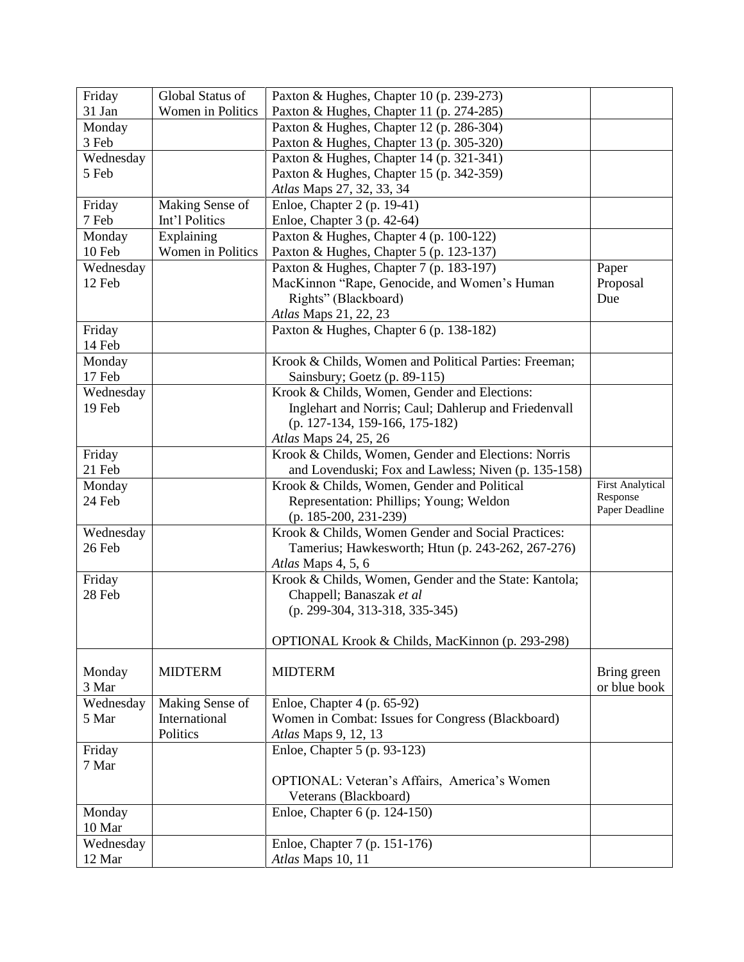| Friday              | Global Status of  | Paxton & Hughes, Chapter 10 (p. 239-273)              |                         |
|---------------------|-------------------|-------------------------------------------------------|-------------------------|
| 31 Jan              | Women in Politics | Paxton & Hughes, Chapter 11 (p. 274-285)              |                         |
| Monday              |                   | Paxton & Hughes, Chapter 12 (p. 286-304)              |                         |
| 3 Feb               |                   | Paxton & Hughes, Chapter 13 (p. 305-320)              |                         |
| Wednesday           |                   | Paxton & Hughes, Chapter 14 (p. 321-341)              |                         |
| 5 Feb               |                   | Paxton & Hughes, Chapter 15 (p. 342-359)              |                         |
|                     |                   | Atlas Maps 27, 32, 33, 34                             |                         |
| Friday              | Making Sense of   | Enloe, Chapter 2 (p. 19-41)                           |                         |
| 7 Feb               | Int'l Politics    | Enloe, Chapter 3 (p. 42-64)                           |                         |
| Monday              | Explaining        | Paxton & Hughes, Chapter 4 (p. 100-122)               |                         |
| 10 Feb              | Women in Politics | Paxton & Hughes, Chapter 5 (p. 123-137)               |                         |
| Wednesday           |                   | Paxton & Hughes, Chapter 7 (p. 183-197)               | Paper                   |
| 12 Feb              |                   | MacKinnon "Rape, Genocide, and Women's Human          | Proposal                |
|                     |                   | Rights" (Blackboard)                                  | Due                     |
|                     |                   | Atlas Maps 21, 22, 23                                 |                         |
| Friday              |                   | Paxton & Hughes, Chapter 6 (p. 138-182)               |                         |
| 14 Feb              |                   |                                                       |                         |
| Monday              |                   | Krook & Childs, Women and Political Parties: Freeman; |                         |
| 17 Feb              |                   | Sainsbury; Goetz (p. 89-115)                          |                         |
| Wednesday           |                   | Krook & Childs, Women, Gender and Elections:          |                         |
| 19 Feb              |                   | Inglehart and Norris; Caul; Dahlerup and Friedenvall  |                         |
|                     |                   | (p. 127-134, 159-166, 175-182)                        |                         |
|                     |                   | Atlas Maps 24, 25, 26                                 |                         |
| Friday              |                   | Krook & Childs, Women, Gender and Elections: Norris   |                         |
| 21 Feb              |                   | and Lovenduski; Fox and Lawless; Niven (p. 135-158)   |                         |
| Monday              |                   | Krook & Childs, Women, Gender and Political           | <b>First Analytical</b> |
| 24 Feb              |                   | Representation: Phillips; Young; Weldon               | Response                |
|                     |                   | (p. 185-200, 231-239)                                 | Paper Deadline          |
| Wednesday           |                   | Krook & Childs, Women Gender and Social Practices:    |                         |
| 26 Feb              |                   |                                                       |                         |
|                     |                   | Tamerius; Hawkesworth; Htun (p. 243-262, 267-276)     |                         |
|                     |                   | Atlas Maps 4, 5, 6                                    |                         |
| Friday              |                   | Krook & Childs, Women, Gender and the State: Kantola; |                         |
| 28 Feb              |                   | Chappell; Banaszak et al                              |                         |
|                     |                   | (p. 299-304, 313-318, 335-345)                        |                         |
|                     |                   |                                                       |                         |
|                     |                   | OPTIONAL Krook & Childs, MacKinnon (p. 293-298)       |                         |
|                     |                   |                                                       |                         |
| Monday              | <b>MIDTERM</b>    | <b>MIDTERM</b>                                        | Bring green             |
| 3 Mar               |                   |                                                       | or blue book            |
| Wednesday           | Making Sense of   | Enloe, Chapter 4 (p. 65-92)                           |                         |
| 5 Mar               | International     | Women in Combat: Issues for Congress (Blackboard)     |                         |
|                     | Politics          | Atlas Maps 9, 12, 13                                  |                         |
| Friday              |                   | Enloe, Chapter 5 (p. 93-123)                          |                         |
| 7 Mar               |                   |                                                       |                         |
|                     |                   |                                                       |                         |
|                     |                   | OPTIONAL: Veteran's Affairs, America's Women          |                         |
|                     |                   | Veterans (Blackboard)                                 |                         |
| Monday              |                   | Enloe, Chapter 6 (p. 124-150)                         |                         |
| 10 Mar              |                   |                                                       |                         |
| Wednesday<br>12 Mar |                   | Enloe, Chapter 7 (p. 151-176)<br>Atlas Maps 10, 11    |                         |